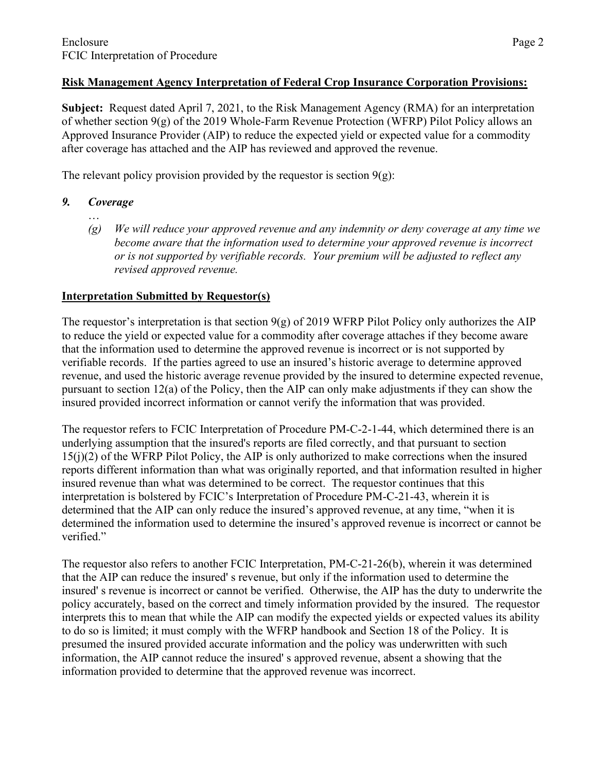## **Risk Management Agency Interpretation of Federal Crop Insurance Corporation Provisions:**

**Subject:** Request dated April 7, 2021, to the Risk Management Agency (RMA) for an interpretation of whether section 9(g) of the 2019 Whole-Farm Revenue Protection (WFRP) Pilot Policy allows an Approved Insurance Provider (AIP) to reduce the expected yield or expected value for a commodity after coverage has attached and the AIP has reviewed and approved the revenue.

The relevant policy provision provided by the requestor is section  $9(g)$ :

- *9. Coverage* …
	- *(g) We will reduce your approved revenue and any indemnity or deny coverage at any time we become aware that the information used to determine your approved revenue is incorrect or is not supported by verifiable records. Your premium will be adjusted to reflect any revised approved revenue.*

## **Interpretation Submitted by Requestor(s)**

The requestor's interpretation is that section  $9(g)$  of 2019 WFRP Pilot Policy only authorizes the AIP to reduce the yield or expected value for a commodity after coverage attaches if they become aware that the information used to determine the approved revenue is incorrect or is not supported by verifiable records. If the parties agreed to use an insured's historic average to determine approved revenue, and used the historic average revenue provided by the insured to determine expected revenue, pursuant to section 12(a) of the Policy, then the AIP can only make adjustments if they can show the insured provided incorrect information or cannot verify the information that was provided.

The requestor refers to FCIC Interpretation of Procedure PM-C-2-1-44, which determined there is an underlying assumption that the insured's reports are filed correctly, and that pursuant to section 15(j)(2) of the WFRP Pilot Policy, the AIP is only authorized to make corrections when the insured reports different information than what was originally reported, and that information resulted in higher insured revenue than what was determined to be correct. The requestor continues that this interpretation is bolstered by FCIC's Interpretation of Procedure PM-C-21-43, wherein it is determined that the AIP can only reduce the insured's approved revenue, at any time, "when it is determined the information used to determine the insured's approved revenue is incorrect or cannot be verified."

The requestor also refers to another FCIC Interpretation, PM-C-21-26(b), wherein it was determined that the AIP can reduce the insured' s revenue, but only if the information used to determine the insured' s revenue is incorrect or cannot be verified. Otherwise, the AIP has the duty to underwrite the policy accurately, based on the correct and timely information provided by the insured. The requestor interprets this to mean that while the AIP can modify the expected yields or expected values its ability to do so is limited; it must comply with the WFRP handbook and Section 18 of the Policy. It is presumed the insured provided accurate information and the policy was underwritten with such information, the AIP cannot reduce the insured' s approved revenue, absent a showing that the information provided to determine that the approved revenue was incorrect.